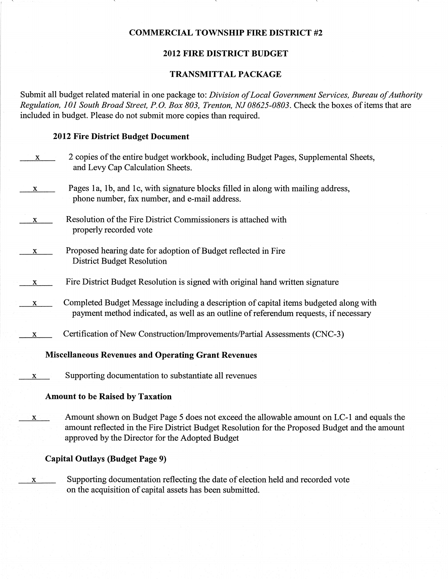#### COMMERCIAL TOWNSIIIP FIRE DISTRICT #2

#### 2012 FIRB DISTRICT BUDGET

#### TRANSMITTAL PACKAGE

Submit all budget related material in one package to: Division of Local Government Services, Bureau of Authority Regulation, 101 South Broad Street, P.O. Box 803, Trenton, NJ 08625-0803. Check the boxes of items that are included in budget. Please do not submit more copies than required.

#### 2012 Fire District Budget Document

| X.           | 2 copies of the entire budget workbook, including Budget Pages, Supplemental Sheets,<br>and Levy Cap Calculation Sheets.                                                                                                                       |
|--------------|------------------------------------------------------------------------------------------------------------------------------------------------------------------------------------------------------------------------------------------------|
| X.           | Pages 1a, 1b, and 1c, with signature blocks filled in along with mailing address,<br>phone number, fax number, and e-mail address.                                                                                                             |
| X            | Resolution of the Fire District Commissioners is attached with<br>properly recorded vote                                                                                                                                                       |
| X.           | Proposed hearing date for adoption of Budget reflected in Fire<br><b>District Budget Resolution</b>                                                                                                                                            |
| X.           | Fire District Budget Resolution is signed with original hand written signature                                                                                                                                                                 |
| X            | Completed Budget Message including a description of capital items budgeted along with<br>payment method indicated, as well as an outline of referendum requests, if necessary                                                                  |
| X            | Certification of New Construction/Improvements/Partial Assessments (CNC-3)                                                                                                                                                                     |
|              | <b>Miscellaneous Revenues and Operating Grant Revenues</b>                                                                                                                                                                                     |
| X            | Supporting documentation to substantiate all revenues                                                                                                                                                                                          |
|              | <b>Amount to be Raised by Taxation</b>                                                                                                                                                                                                         |
| $\mathbf{X}$ | Amount shown on Budget Page 5 does not exceed the allowable amount on LC-1 and equals the<br>amount reflected in the Fire District Budget Resolution for the Proposed Budget and the amount<br>approved by the Director for the Adopted Budget |
|              | <b>Capital Outlays (Budget Page 9)</b>                                                                                                                                                                                                         |

 $x = x$  Supporting documentation reflecting the date of election held and recorded vote on the acquisition of capital assets has been submitted.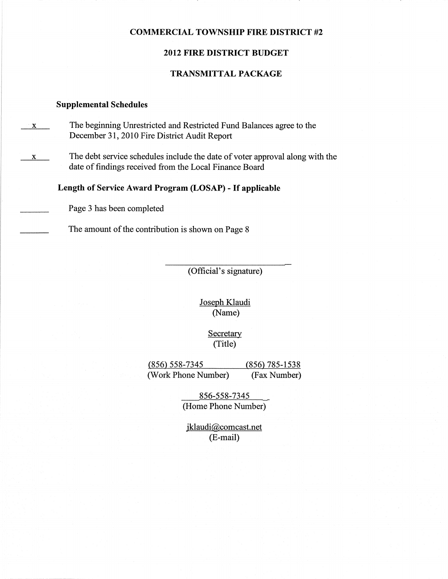#### COMMERCIAL TOWNSHIP FIRE DISTRICT #2

#### 2012 FIRE DISTRICT BUDGET

#### TRANSMITTAL PACKAGE

#### Supplemental Schedules

- $\mathbf{x}$  The beginning Unrestricted and Restricted Fund Balances agree to the December 31,2010 Fire District Audit Report
- $x$  The debt service schedules include the date of voter approval along with the date of findings received from the Local Finance Board

#### Length of Service Award Program (LOSAP) - If applicable

Page 3 has been completed

The amount of the contribution is shown on Page 8

(Official's signature)

Joseph Klaudi (Name)

> **Secretary** (Title)

(856) 558-7345 (856) 785-1538 (Work Phone Number) (Fax Number)

> 856-558-7345 (Home Phone Number)

jklaudi@comcast.net (E-mail)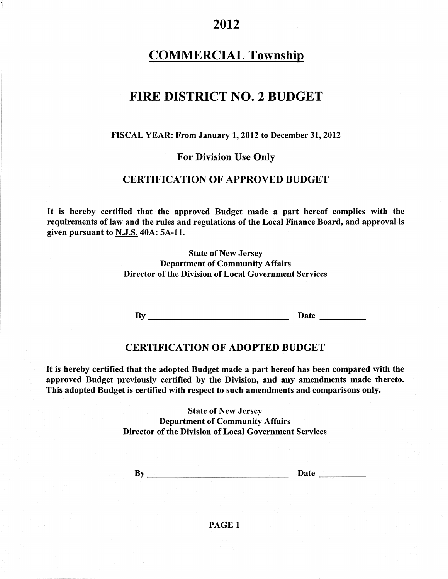### COMMERCIAL Township

# FIRE DISTRICT NO. 2 BUDGET

#### FISCAL YEAR: From January 1, 2012 to December 31, 2012

#### For Division Use Onlv

#### CERTIFICATION OF APPROVED BUDGET

It is hereby certified that the approved Budget made a part hereof complies with the requirements of law and the rules and regulations of the Local Finance Board, and approval is given pursuant to N.J.S.40A: 5A-11.

> State of New Jersey Department of Communify Affairs Director of the Division of Local Government Services

By Date Date

#### CERTIFICATION OF ADOPTED BUDGET

It is hereby certified that the adopted Budget made a part hereof has been compared with the approved Budget previously certified by the Division, and any amendments made thereto. This adopted Budget is certified with respect to such amendments and comparisons only.

> State of New Jersey Department of Community Affairs Director of the Division of Local Government Services

By Date

#### PAGE 1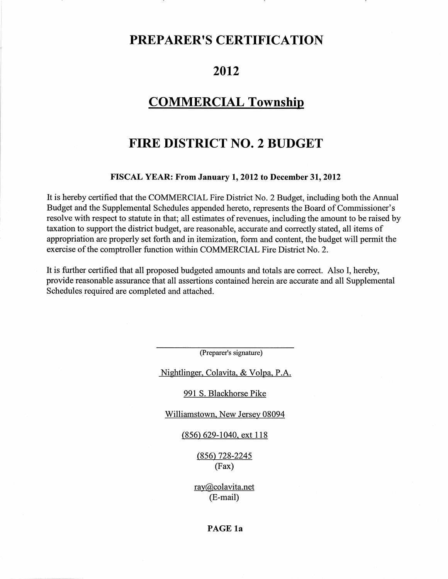### PREPARER'S CERTIFICATION

### 2012

### COMMERCIAL Township

# FIRE DISTRICT NO. 2 BUDGET

#### FISCAL YEAR: From January 1, 2012 to December 31, 2012

It is hereby certified that the COMMERCIAL Fire District No. 2 Budget, including both the Annual Budget and the Supplemental Schedules appended hereto, represents the Board of Commissioner's resolve with respect to statute in that; all estimates of revenues, including the amount to be raised by taxation to support the district budget, are reasonable, accurate and correctly stated, all items of appropriation are properly set forth and in itemization, form and content, the budget will permit the exercise of the comptroller function within COMMERCIAL Fire District No. 2.

It is further certified that all proposed budgeted amounts and totals are correct. Also I, hereby, provide reasonable assurance that all assertions contained herein are accurate and all Supplemental Schedules required are completed and attached.

(Preparer's signature)

Nightlinger, Colavita, & Volpa, P.A.

991 S. Blackhorse Pike

Williamstown, New Jersey 08094

(856) 629-1040. ext 118

 $(856)$  728-2245 (Fax)

ray@colavita.net (E-mail)

#### PAGE 1a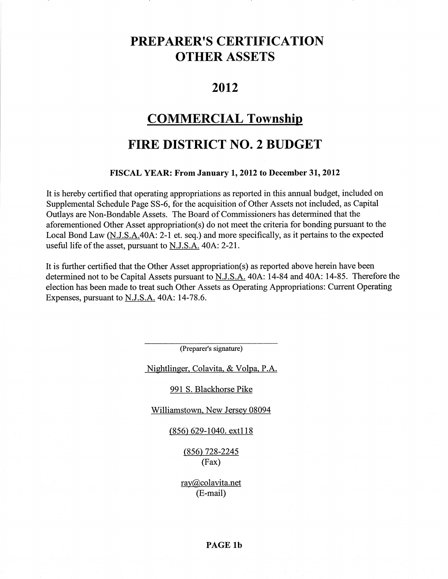# PREPARER'S CERTIFICATION OTHER ASSETS

### 2012

### **COMMERCIAL Township**

# FIRE DISTRICT NO. 2 BUDGET

#### FISCAL YEAR: From January 1,2012 to December 31,2012

It is hereby certified that operating appropriations as reported in this annual budget, included on Supplemental Schedule Page 55-6, for the acquisition of Other Assets not included, as Capital Outlays are Non-Bondable Assets. The Board of Commissioners has determined that the aforementioned Other Asset appropriation(s) do not meet the criteria for bonding pursuant to the Local Bond Law (N.J.S.A.40A: 2-1 et. seq.) and more specifically, as it pertains to the expected useful life of the asset, pursuant to N.J.S.A. 40A: 2-21.

It is further certified that the Other Asset appropriation(s) as reported above herein have been determined not to be Capital Assets pursuant to N.J.S.A. 40A: 14-84 and 40A: 14-85. Therefore the election has been made to treat such Other Assets as Operating Appropriations: Current Operating Expenses, pursuant to N.J.S.A. 404: 14-78.6.

(Preparer's signature)

Nightlinger, Colavita, & Volpa, P.A.

991 S. Blackhorse Pike

Williamstown. New Jersey 08094

(856) 629-1040. ext118

(856) 728-2245 (Fax)

ray@colavita.net (E-mail)

PAGE lb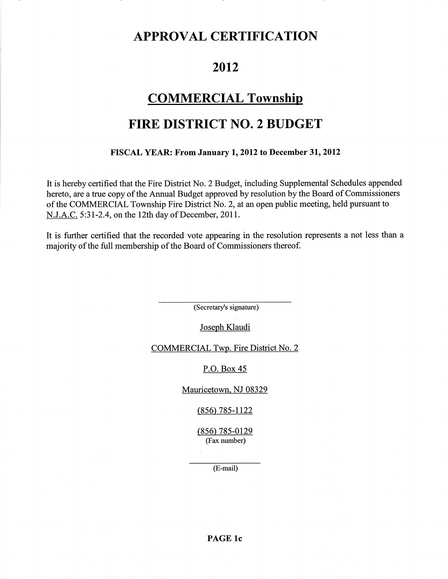# APPROVAL CERTIFICATION

### 2012

### COMMERCIAL Township

# FIRE DISTRICT NO. 2 BUDGET

#### FISCAL YEAR: FromJanuary 1,2012 to December 31,2012

It is hereby certified that the Fire District No. 2 Budget, including Supplemental Schedules appended hereto, are a true copy of the Annual Budget approved by resolution by the Board of Commissioners of the COMMERCIAL Township Fire District No. 2, at an open public meeting, held pursuant to N.J.A.C. 5:31-2.4, on the 12th day of December, 2011.

It is further certified that the recorded vote appearing in the resolution represents a not less than a majorityof the full membership of the Board of Commissioners thereof.

(Secretary's signature)

Joseph Klaudi

COMMERCIAL Twp. Fire District No. 2

P.O. Box 45

Mauricetown. NJ 08329

 $(856)$  785-1122

(856) 785-0129 (Fax number)

(E-mail)

PAGE 1c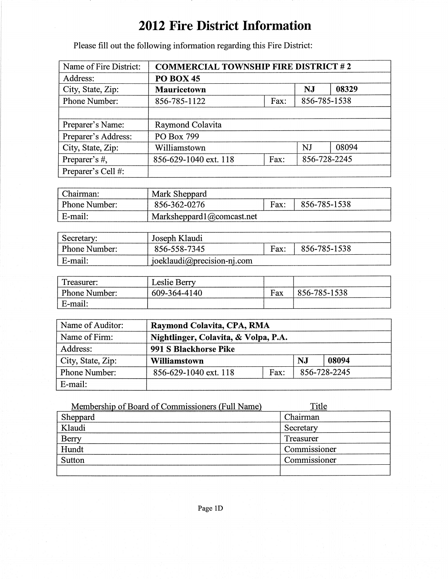# 2012 Fire District Information

Please fill out the following information regarding this Fire District:

| Name of Fire District: | <b>COMMERCIAL TOWNSHIP FIRE DISTRICT #2</b> |           |       |              |  |
|------------------------|---------------------------------------------|-----------|-------|--------------|--|
| Address:               | PO BOX 45                                   |           |       |              |  |
| City, State, Zip:      | <b>Mauricetown</b>                          | <b>NJ</b> | 08329 |              |  |
| Phone Number:          | 856-785-1538<br>856-785-1122<br>Fax:        |           |       |              |  |
|                        |                                             |           |       |              |  |
| Preparer's Name:       | Raymond Colavita                            |           |       |              |  |
| Preparer's Address:    | PO Box 799                                  |           |       |              |  |
| City, State, Zip:      | Williamstown                                |           | NJ    | 08094        |  |
| Preparer's #,          | 856-629-1040 ext. 118<br>Fax:               |           |       | 856-728-2245 |  |
| Preparer's Cell #:     |                                             |           |       |              |  |

| Chairman:     | Mark Sheppard                  |      |              |  |
|---------------|--------------------------------|------|--------------|--|
| Phone Number: | 856-362-0276                   | Fax: | 856-785-1538 |  |
| ' E-mail:     | Marksheppard $1$ @ comeast.net |      |              |  |

| Secretary:           | Joseph Klaudi              |      |              |  |
|----------------------|----------------------------|------|--------------|--|
| <b>Phone Number:</b> | 856-558-7345               | Fax: | 856-785-1538 |  |
| E-mail:              | joeklaudi@precision-nj.com |      |              |  |

| Treasurer:           | Leslie Berry |     |              |
|----------------------|--------------|-----|--------------|
| <b>Phone Number:</b> | 609-364-4140 | Fax | 856-785-1538 |
| E-mail:              |              |     |              |

| Name of Auditor:  | Raymond Colavita, CPA, RMA           |      |    |              |
|-------------------|--------------------------------------|------|----|--------------|
| Name of Firm:     | Nightlinger, Colavita, & Volpa, P.A. |      |    |              |
| Address:          | 991 S Blackhorse Pike                |      |    |              |
| City, State, Zip: | Williamstown                         |      | NJ | 08094        |
| Phone Number:     | 856-629-1040 ext. 118                | Fax: |    | 856-728-2245 |
| E-mail:           |                                      |      |    |              |

| Membership of Board of Commissioners (Full Name) | Title        |
|--------------------------------------------------|--------------|
| Sheppard                                         | Chairman     |
| Klaudi                                           | Secretary    |
| Berry                                            | Treasurer    |
| Hundt                                            | Commissioner |
| Sutton                                           | Commissioner |
|                                                  |              |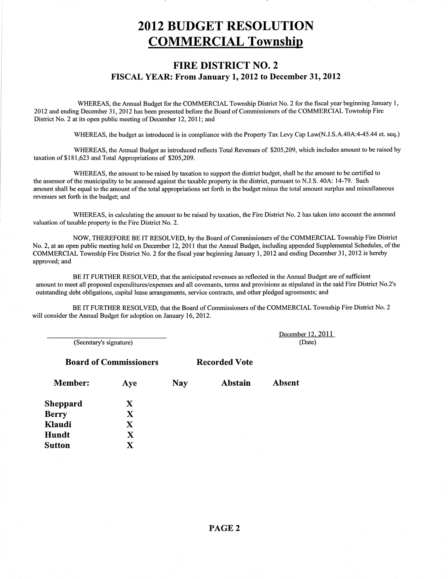# 2OI2 BUDGET RESOLUTION COMMERCIAL Township

#### FIRE DISTRICT NO. 2 FISCAL YEAR: From January L,2012 to December 31,2012

WHEREAS, the Annual Budget for the COMMERCIAL Township District No. 2 for the fiscal year beginning January 1, 2012 and ending December 31,2012 has been presented before the Board of Commissioners of the COMMERCIAL Township Fire District No. 2 at its open public meeting of December 12, 2011; and

WHEREAS, the budget as introduced is in compliance with the Property Tax Levy Cap Law(N.J.S.A.40A:4-45.44 et. seq.)

WHEREAS, the Annual Budget as introduced reflects Total Revenues of \$205,209, which includes amount to be raised by taxation of\$181,623 and Total Appropriations of \$205,209.

WHEREAS, the amount to be raised by taxation to support the district budget, shall be the amount to be certified to the assessor of the municipality to be assessed against the taxable property in the district, pursuant to N.J.S. 404: 14-79- Such amount shall be equal to the amount of the total appropriations set forth in the budget minus the total amount surplus and miscellaneous revenues set forth in the budget; and

WHEREAS, in calculating the amount to be raised by taxation, the Fire District No. 2 has taken into account the assessed valuation of taxable property in the Fire District No. 2.

NOW, THEREFORE BE IT RESOLVED, by the Board of Commissioners of the COMMERCIAL Township Fire District No. 2, at an open public meeting held on December l2,20ll that the Annual Budget, including appended Supplemental Schedules, of the COMMERCIAL Township Fire District No. 2 for the fiscal year beginning January 1,2012 and eriding Decernber 31, 2012 is hereby approved; and

BE IT FURTHER RESOLVED, that the anticipated revenues as reflected in the Annual Budget are of sufficient amount to meet all proposed expenditures/expenses and all covenants, terms and provisions as stipulated in the said Fire District No.2's outstanding debt obligations, capital lease arrangements, service contracts, and other pledged agreements; and

BE IT FURTHER RESOLVED, that the Board of Commissioners of the COMMERCIAL Township Fire District No. 2 will consider the Annual Budget for adoption on January 16, 2012.

(Secretary's signature)

Board of Commissioners Recorded Vote

December 12, 2011 (Date)

| <b>Member:</b>  | Aye | <b>Nay</b> | Abstain | Absent |
|-----------------|-----|------------|---------|--------|
| <b>Sheppard</b> | X   |            |         |        |
| <b>Berry</b>    |     |            |         |        |
| Klaudi          | X   |            |         |        |
| Hundt           | X   |            |         |        |
| <b>Sutton</b>   |     |            |         |        |